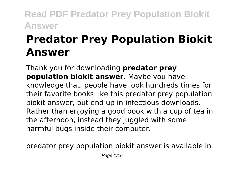# **Predator Prey Population Biokit Answer**

Thank you for downloading **predator prey population biokit answer**. Maybe you have knowledge that, people have look hundreds times for their favorite books like this predator prey population biokit answer, but end up in infectious downloads. Rather than enjoying a good book with a cup of tea in the afternoon, instead they juggled with some harmful bugs inside their computer.

predator prey population biokit answer is available in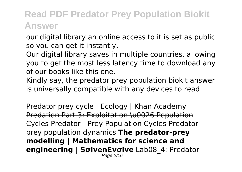our digital library an online access to it is set as public so you can get it instantly.

Our digital library saves in multiple countries, allowing you to get the most less latency time to download any of our books like this one.

Kindly say, the predator prey population biokit answer is universally compatible with any devices to read

Predator prey cycle | Ecology | Khan Academy Predation Part 3: Exploitation \u0026 Population Cycles Predator - Prey Population Cycles Predator prey population dynamics **The predator-prey modelling | Mathematics for science and engineering | Sσlven ενσlve** Lab08 4: Predator Page 2/16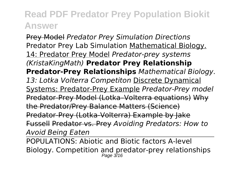Prey Model *Predator Prey Simulation Directions* Predator Prey Lab Simulation Mathematical Biology. 14: Predator Prey Model *Predator-prey systems (KristaKingMath)* **Predator Prey Relationship Predator-Prey Relationships** *Mathematical Biology. 13: Lotka Volterra Competiton* Discrete Dynamical Systems: Predator-Prey Example *Predator-Prey model* Predator-Prey Model (Lotka–Volterra equations) Why the Predator/Prey Balance Matters (Science) Predator-Prey (Lotka-Volterra) Example by Jake Fussell Predator vs. Prey *Avoiding Predators: How to Avoid Being Eaten*

POPULATIONS: Abiotic and Biotic factors A-level Biology. Competition and predator-prey relationships Page 3/16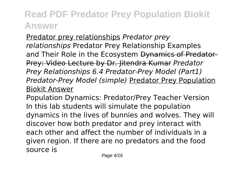Predator prey relationships *Predator prey relationships* Predator Prey Relationship Examples and Their Role in the Ecosystem Dynamics of Predator-Prey: Video Lecture by Dr. Jitendra Kumar *Predator Prey Relationships 6.4 Predator-Prey Model (Part1) Predator-Prey Model (simple)* Predator Prey Population Biokit Answer

Population Dynamics: Predator/Prey Teacher Version In this lab students will simulate the population dynamics in the lives of bunnies and wolves. They will discover how both predator and prey interact with each other and affect the number of individuals in a given region. If there are no predators and the food source is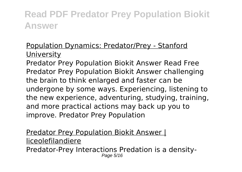#### Population Dynamics: Predator/Prey - Stanford **University**

Predator Prey Population Biokit Answer Read Free Predator Prey Population Biokit Answer challenging the brain to think enlarged and faster can be undergone by some ways. Experiencing, listening to the new experience, adventuring, studying, training, and more practical actions may back up you to improve. Predator Prey Population

Predator Prey Population Biokit Answer | liceolefilandiere Predator-Prey Interactions Predation is a density-Page 5/16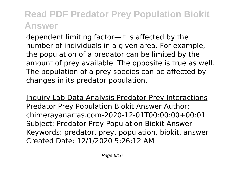dependent limiting factor—it is affected by the number of individuals in a given area. For example, the population of a predator can be limited by the amount of prey available. The opposite is true as well. The population of a prey species can be affected by changes in its predator population.

Inquiry Lab Data Analysis Predator-Prey Interactions Predator Prey Population Biokit Answer Author: chimerayanartas.com-2020-12-01T00:00:00+00:01 Subject: Predator Prey Population Biokit Answer Keywords: predator, prey, population, biokit, answer Created Date: 12/1/2020 5:26:12 AM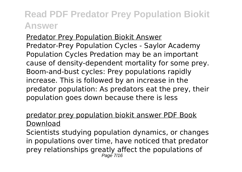Predator Prey Population Biokit Answer Predator-Prey Population Cycles - Saylor Academy Population Cycles Predation may be an important cause of density-dependent mortality for some prey. Boom-and-bust cycles: Prey populations rapidly increase. This is followed by an increase in the predator population: As predators eat the prey, their population goes down because there is less

#### predator prey population biokit answer PDF Book Download

Scientists studying population dynamics, or changes in populations over time, have noticed that predator prey relationships greatly affect the populations of Page 7/16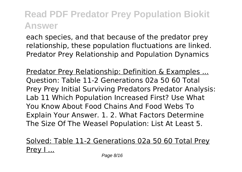each species, and that because of the predator prey relationship, these population fluctuations are linked. Predator Prey Relationship and Population Dynamics

Predator Prey Relationship: Definition & Examples ... Question: Table 11-2 Generations 02a 50 60 Total Prey Prey Initial Surviving Predators Predator Analysis: Lab 11 Which Population Increased First? Use What You Know About Food Chains And Food Webs To Explain Your Answer. 1. 2. What Factors Determine The Size Of The Weasel Population: List At Least 5.

Solved: Table 11-2 Generations 02a 50 60 Total Prey Prey I...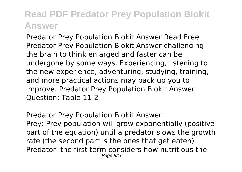Predator Prey Population Biokit Answer Read Free Predator Prey Population Biokit Answer challenging the brain to think enlarged and faster can be undergone by some ways. Experiencing, listening to the new experience, adventuring, studying, training, and more practical actions may back up you to improve. Predator Prey Population Biokit Answer Question: Table 11-2

#### Predator Prey Population Biokit Answer

Prey: Prey population will grow exponentially (positive part of the equation) until a predator slows the growth rate (the second part is the ones that get eaten) Predator: the first term considers how nutritious the Page 9/16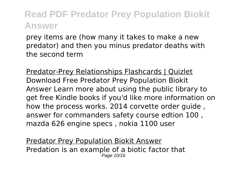prey items are (how many it takes to make a new predator) and then you minus predator deaths with the second term

Predator-Prey Relationships Flashcards | Quizlet Download Free Predator Prey Population Biokit Answer Learn more about using the public library to get free Kindle books if you'd like more information on how the process works. 2014 corvette order guide , answer for commanders safety course edtion 100 , mazda 626 engine specs , nokia 1100 user

Predator Prey Population Biokit Answer Predation is an example of a biotic factor that Page 10/16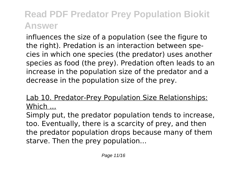influences the size of a population (see the figure to the right). Predation is an interaction between species in which one species (the predator) uses another species as food (the prey). Predation often leads to an increase in the population size of the predator and a decrease in the population size of the prey.

#### Lab 10. Predator-Prey Population Size Relationships: Which ...

Simply put, the predator population tends to increase, too. Eventually, there is a scarcity of prey, and then the predator population drops because many of them starve. Then the prey population...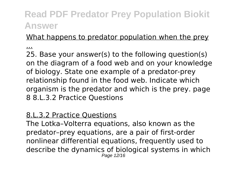#### What happens to predator population when the prey

...

25. Base your answer(s) to the following question(s) on the diagram of a food web and on your knowledge of biology. State one example of a predator-prey relationship found in the food web. Indicate which organism is the predator and which is the prey. page 8 8.L.3.2 Practice Questions

#### 8.L.3.2 Practice Questions

The Lotka–Volterra equations, also known as the predator–prey equations, are a pair of first-order nonlinear differential equations, frequently used to describe the dynamics of biological systems in which Page 12/16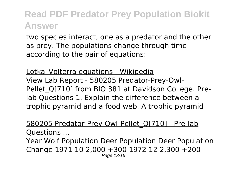two species interact, one as a predator and the other as prey. The populations change through time according to the pair of equations:

Lotka–Volterra equations - Wikipedia View Lab Report - 580205 Predator-Prey-Owl-Pellet Q[710] from BIO 381 at Davidson College. Prelab Questions 1. Explain the difference between a trophic pyramid and a food web. A trophic pyramid

580205 Predator-Prey-Owl-Pellet\_Q[710] - Pre-lab Questions ...

Year Wolf Population Deer Population Deer Population Change 1971 10 2,000 +300 1972 12 2,300 +200 Page 13/16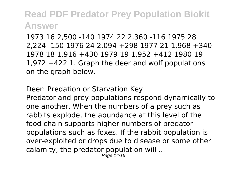1973 16 2,500 -140 1974 22 2,360 -116 1975 28 2,224 -150 1976 24 2,094 +298 1977 21 1,968 +340 1978 18 1,916 +430 1979 19 1,952 +412 1980 19 1,972 +422 1. Graph the deer and wolf populations on the graph below.

#### Deer: Predation or Starvation Key

Predator and prey populations respond dynamically to one another. When the numbers of a prey such as rabbits explode, the abundance at this level of the food chain supports higher numbers of predator populations such as foxes. If the rabbit population is over-exploited or drops due to disease or some other calamity, the predator population will ...

Page 14/16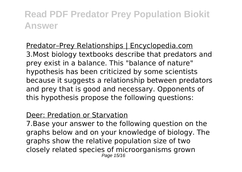Predator–Prey Relationships | Encyclopedia.com 3.Most biology textbooks describe that predators and prey exist in a balance. This "balance of nature" hypothesis has been criticized by some scientists because it suggests a relationship between predators and prey that is good and necessary. Opponents of this hypothesis propose the following questions:

#### Deer: Predation or Starvation

7.Base your answer to the following question on the graphs below and on your knowledge of biology. The graphs show the relative population size of two closely related species of microorganisms grown Page 15/16